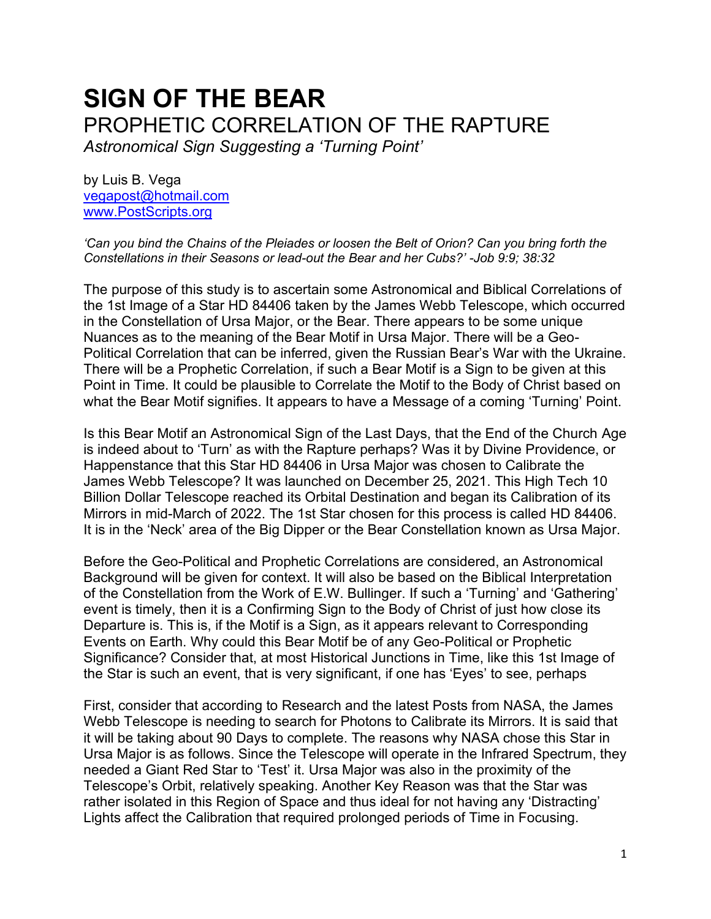# **SIGN OF THE BEAR** PROPHETIC CORRELATION OF THE RAPTURE

*Astronomical Sign Suggesting a 'Turning Point'*

by Luis B. Vega [vegapost@hotmail.com](mailto:vegapost@hotmail.com) [www.PostScripts.org](http://www.postscripts.org/)

*'Can you bind the Chains of the Pleiades or loosen the Belt of Orion? Can you bring forth the Constellations in their Seasons or lead-out the Bear and her Cubs?' -Job 9:9; 38:32*

The purpose of this study is to ascertain some Astronomical and Biblical Correlations of the 1st Image of a Star HD 84406 taken by the James Webb Telescope, which occurred in the Constellation of Ursa Major, or the Bear. There appears to be some unique Nuances as to the meaning of the Bear Motif in Ursa Major. There will be a Geo-Political Correlation that can be inferred, given the Russian Bear's War with the Ukraine. There will be a Prophetic Correlation, if such a Bear Motif is a Sign to be given at this Point in Time. It could be plausible to Correlate the Motif to the Body of Christ based on what the Bear Motif signifies. It appears to have a Message of a coming 'Turning' Point.

Is this Bear Motif an Astronomical Sign of the Last Days, that the End of the Church Age is indeed about to 'Turn' as with the Rapture perhaps? Was it by Divine Providence, or Happenstance that this Star HD 84406 in Ursa Major was chosen to Calibrate the James Webb Telescope? It was launched on December 25, 2021. This High Tech 10 Billion Dollar Telescope reached its Orbital Destination and began its Calibration of its Mirrors in mid-March of 2022. The 1st Star chosen for this process is called HD 84406. It is in the 'Neck' area of the Big Dipper or the Bear Constellation known as Ursa Major.

Before the Geo-Political and Prophetic Correlations are considered, an Astronomical Background will be given for context. It will also be based on the Biblical Interpretation of the Constellation from the Work of E.W. Bullinger. If such a 'Turning' and 'Gathering' event is timely, then it is a Confirming Sign to the Body of Christ of just how close its Departure is. This is, if the Motif is a Sign, as it appears relevant to Corresponding Events on Earth. Why could this Bear Motif be of any Geo-Political or Prophetic Significance? Consider that, at most Historical Junctions in Time, like this 1st Image of the Star is such an event, that is very significant, if one has 'Eyes' to see, perhaps

First, consider that according to Research and the latest Posts from NASA, the James Webb Telescope is needing to search for Photons to Calibrate its Mirrors. It is said that it will be taking about 90 Days to complete. The reasons why NASA chose this Star in Ursa Major is as follows. Since the Telescope will operate in the Infrared Spectrum, they needed a Giant Red Star to 'Test' it. Ursa Major was also in the proximity of the Telescope's Orbit, relatively speaking. Another Key Reason was that the Star was rather isolated in this Region of Space and thus ideal for not having any 'Distracting' Lights affect the Calibration that required prolonged periods of Time in Focusing.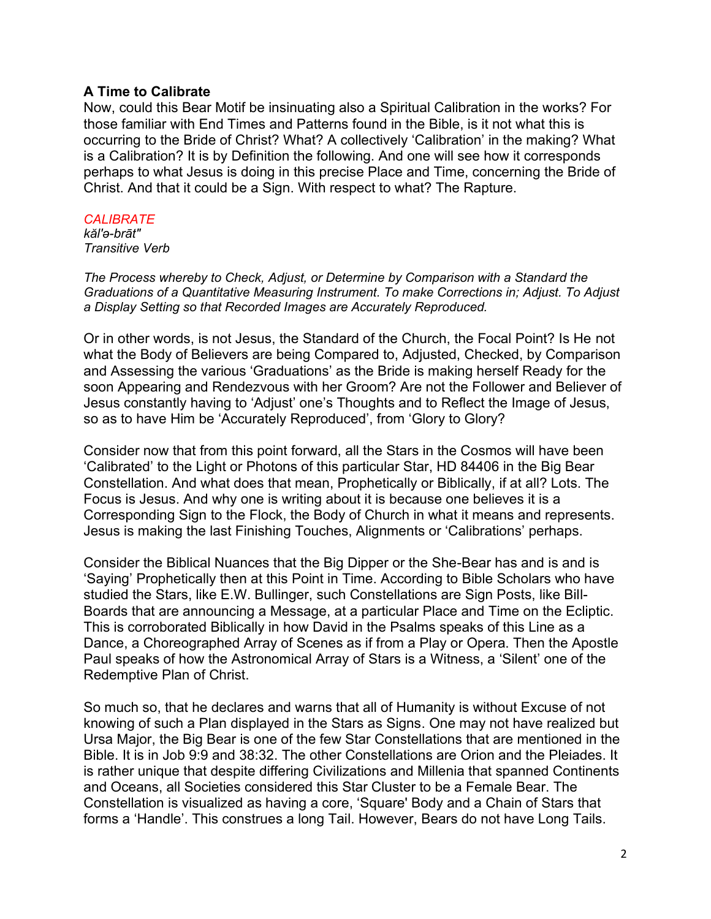## **A Time to Calibrate**

Now, could this Bear Motif be insinuating also a Spiritual Calibration in the works? For those familiar with End Times and Patterns found in the Bible, is it not what this is occurring to the Bride of Christ? What? A collectively 'Calibration' in the making? What is a Calibration? It is by Definition the following. And one will see how it corresponds perhaps to what Jesus is doing in this precise Place and Time, concerning the Bride of Christ. And that it could be a Sign. With respect to what? The Rapture.

#### *CALIBRATE*

*kăl′ə-brāt″ Transitive Verb*

*The Process whereby to Check, Adjust, or Determine by Comparison with a Standard the Graduations of a Quantitative Measuring Instrument. To make Corrections in; Adjust. To Adjust a Display Setting so that Recorded Images are Accurately Reproduced.*

Or in other words, is not Jesus, the Standard of the Church, the Focal Point? Is He not what the Body of Believers are being Compared to, Adjusted, Checked, by Comparison and Assessing the various 'Graduations' as the Bride is making herself Ready for the soon Appearing and Rendezvous with her Groom? Are not the Follower and Believer of Jesus constantly having to 'Adjust' one's Thoughts and to Reflect the Image of Jesus, so as to have Him be 'Accurately Reproduced', from 'Glory to Glory?

Consider now that from this point forward, all the Stars in the Cosmos will have been 'Calibrated' to the Light or Photons of this particular Star, HD 84406 in the Big Bear Constellation. And what does that mean, Prophetically or Biblically, if at all? Lots. The Focus is Jesus. And why one is writing about it is because one believes it is a Corresponding Sign to the Flock, the Body of Church in what it means and represents. Jesus is making the last Finishing Touches, Alignments or 'Calibrations' perhaps.

Consider the Biblical Nuances that the Big Dipper or the She-Bear has and is and is 'Saying' Prophetically then at this Point in Time. According to Bible Scholars who have studied the Stars, like E.W. Bullinger, such Constellations are Sign Posts, like Bill-Boards that are announcing a Message, at a particular Place and Time on the Ecliptic. This is corroborated Biblically in how David in the Psalms speaks of this Line as a Dance, a Choreographed Array of Scenes as if from a Play or Opera. Then the Apostle Paul speaks of how the Astronomical Array of Stars is a Witness, a 'Silent' one of the Redemptive Plan of Christ.

So much so, that he declares and warns that all of Humanity is without Excuse of not knowing of such a Plan displayed in the Stars as Signs. One may not have realized but Ursa Major, the Big Bear is one of the few Star Constellations that are mentioned in the Bible. It is in Job 9:9 and 38:32. The other Constellations are Orion and the Pleiades. It is rather unique that despite differing Civilizations and Millenia that spanned Continents and Oceans, all Societies considered this Star Cluster to be a Female Bear. The Constellation is visualized as having a core, 'Square' Body and a Chain of Stars that forms a 'Handle'. This construes a long Tail. However, Bears do not have Long Tails.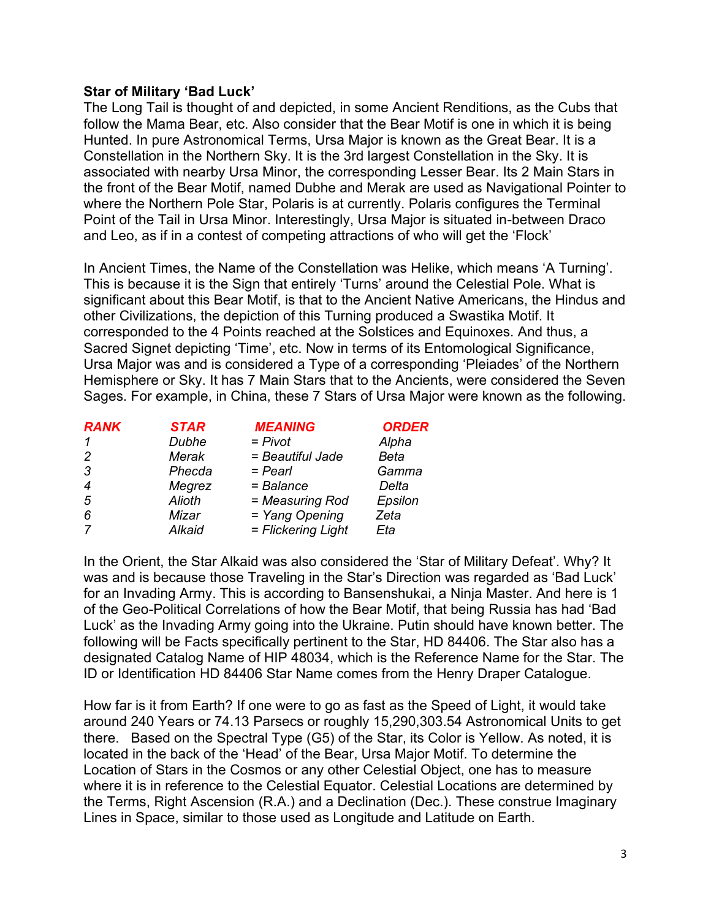# **Star of Military 'Bad Luck'**

The Long Tail is thought of and depicted, in some Ancient Renditions, as the Cubs that follow the Mama Bear, etc. Also consider that the Bear Motif is one in which it is being Hunted. In pure Astronomical Terms, Ursa Major is known as the Great Bear. It is a Constellation in the Northern Sky. It is the 3rd largest Constellation in the Sky. It is associated with nearby Ursa Minor, the corresponding Lesser Bear. Its 2 Main Stars in the front of the Bear Motif, named Dubhe and Merak are used as Navigational Pointer to where the Northern Pole Star, Polaris is at currently. Polaris configures the Terminal Point of the Tail in Ursa Minor. Interestingly, Ursa Major is situated in-between Draco and Leo, as if in a contest of competing attractions of who will get the 'Flock'

In Ancient Times, the Name of the Constellation was Helike, which means 'A Turning'. This is because it is the Sign that entirely 'Turns' around the Celestial Pole. What is significant about this Bear Motif, is that to the Ancient Native Americans, the Hindus and other Civilizations, the depiction of this Turning produced a Swastika Motif. It corresponded to the 4 Points reached at the Solstices and Equinoxes. And thus, a Sacred Signet depicting 'Time', etc. Now in terms of its Entomological Significance, Ursa Major was and is considered a Type of a corresponding 'Pleiades' of the Northern Hemisphere or Sky. It has 7 Main Stars that to the Ancients, were considered the Seven Sages. For example, in China, these 7 Stars of Ursa Major were known as the following.

| <b>RANK</b>   | <b>STAR</b>   | <b>MEANING</b>     | <b>ORDER</b> |
|---------------|---------------|--------------------|--------------|
| 1             | Dubhe         | $= Pivot$          | Alpha        |
| $\mathcal{P}$ | Merak         | = Beautiful Jade   | Beta         |
| 3             | Phecda        | $=$ Pearl          | Gamma        |
| 4             | Megrez        | $=$ Balance        | Delta        |
| 5             | <b>Alioth</b> | = Measuring Rod    | Epsilon      |
| 6             | Mizar         | = Yang Opening     | Zeta         |
| 7             | Alkaid        | = Flickering Light | Eta          |

In the Orient, the Star Alkaid was also considered the 'Star of Military Defeat'. Why? It was and is because those Traveling in the Star's Direction was regarded as 'Bad Luck' for an Invading Army. This is according to Bansenshukai, a Ninja Master. And here is 1 of the Geo-Political Correlations of how the Bear Motif, that being Russia has had 'Bad Luck' as the Invading Army going into the Ukraine. Putin should have known better. The following will be Facts specifically pertinent to the Star, HD 84406. The Star also has a designated Catalog Name of HIP 48034, which is the Reference Name for the Star. The ID or Identification HD 84406 Star Name comes from the Henry Draper Catalogue.

How far is it from Earth? If one were to go as fast as the Speed of Light, it would take around 240 Years or 74.13 Parsecs or roughly 15,290,303.54 Astronomical Units to get there. Based on the Spectral Type (G5) of the Star, its Color is Yellow. As noted, it is located in the back of the 'Head' of the Bear, Ursa Major Motif. To determine the Location of Stars in the Cosmos or any other Celestial Object, one has to measure where it is in reference to the Celestial Equator. Celestial Locations are determined by the Terms, Right Ascension (R.A.) and a Declination (Dec.). These construe Imaginary Lines in Space, similar to those used as Longitude and Latitude on Earth.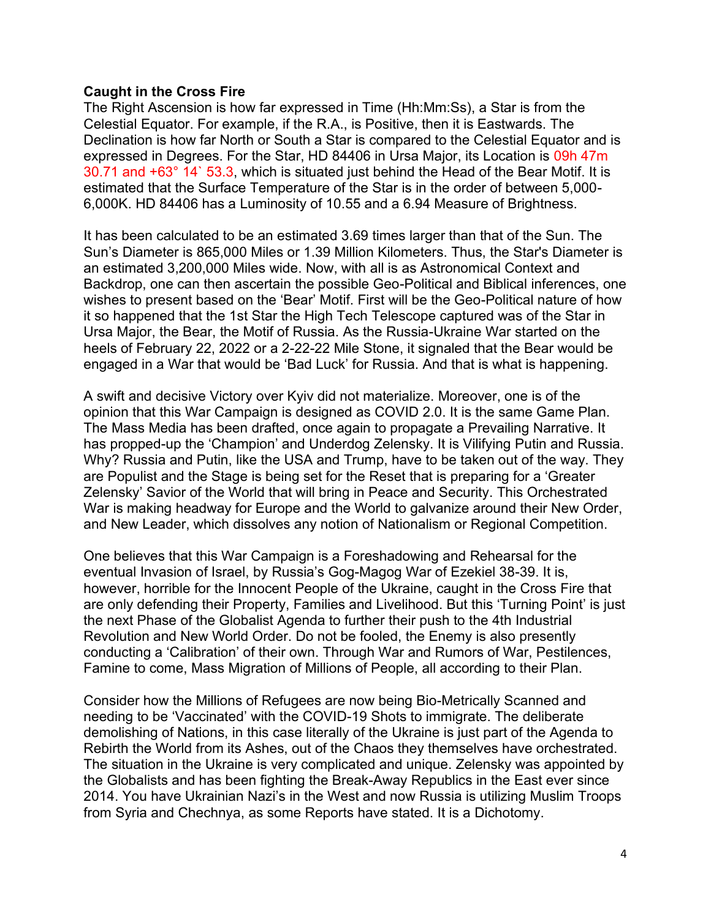## **Caught in the Cross Fire**

The Right Ascension is how far expressed in Time (Hh:Mm:Ss), a Star is from the Celestial Equator. For example, if the R.A., is Positive, then it is Eastwards. The Declination is how far North or South a Star is compared to the Celestial Equator and is expressed in Degrees. For the Star, HD 84406 in Ursa Major, its Location is 09h 47m 30.71 and +63° 14` 53.3, which is situated just behind the Head of the Bear Motif. It is estimated that the Surface Temperature of the Star is in the order of between 5,000- 6,000K. HD 84406 has a Luminosity of 10.55 and a 6.94 Measure of Brightness.

It has been calculated to be an estimated 3.69 times larger than that of the Sun. The Sun's Diameter is 865,000 Miles or 1.39 Million Kilometers. Thus, the Star's Diameter is an estimated 3,200,000 Miles wide. Now, with all is as Astronomical Context and Backdrop, one can then ascertain the possible Geo-Political and Biblical inferences, one wishes to present based on the 'Bear' Motif. First will be the Geo-Political nature of how it so happened that the 1st Star the High Tech Telescope captured was of the Star in Ursa Major, the Bear, the Motif of Russia. As the Russia-Ukraine War started on the heels of February 22, 2022 or a 2-22-22 Mile Stone, it signaled that the Bear would be engaged in a War that would be 'Bad Luck' for Russia. And that is what is happening.

A swift and decisive Victory over Kyiv did not materialize. Moreover, one is of the opinion that this War Campaign is designed as COVID 2.0. It is the same Game Plan. The Mass Media has been drafted, once again to propagate a Prevailing Narrative. It has propped-up the 'Champion' and Underdog Zelensky. It is Vilifying Putin and Russia. Why? Russia and Putin, like the USA and Trump, have to be taken out of the way. They are Populist and the Stage is being set for the Reset that is preparing for a 'Greater Zelensky' Savior of the World that will bring in Peace and Security. This Orchestrated War is making headway for Europe and the World to galvanize around their New Order, and New Leader, which dissolves any notion of Nationalism or Regional Competition.

One believes that this War Campaign is a Foreshadowing and Rehearsal for the eventual Invasion of Israel, by Russia's Gog-Magog War of Ezekiel 38-39. It is, however, horrible for the Innocent People of the Ukraine, caught in the Cross Fire that are only defending their Property, Families and Livelihood. But this 'Turning Point' is just the next Phase of the Globalist Agenda to further their push to the 4th Industrial Revolution and New World Order. Do not be fooled, the Enemy is also presently conducting a 'Calibration' of their own. Through War and Rumors of War, Pestilences, Famine to come, Mass Migration of Millions of People, all according to their Plan.

Consider how the Millions of Refugees are now being Bio-Metrically Scanned and needing to be 'Vaccinated' with the COVID-19 Shots to immigrate. The deliberate demolishing of Nations, in this case literally of the Ukraine is just part of the Agenda to Rebirth the World from its Ashes, out of the Chaos they themselves have orchestrated. The situation in the Ukraine is very complicated and unique. Zelensky was appointed by the Globalists and has been fighting the Break-Away Republics in the East ever since 2014. You have Ukrainian Nazi's in the West and now Russia is utilizing Muslim Troops from Syria and Chechnya, as some Reports have stated. It is a Dichotomy.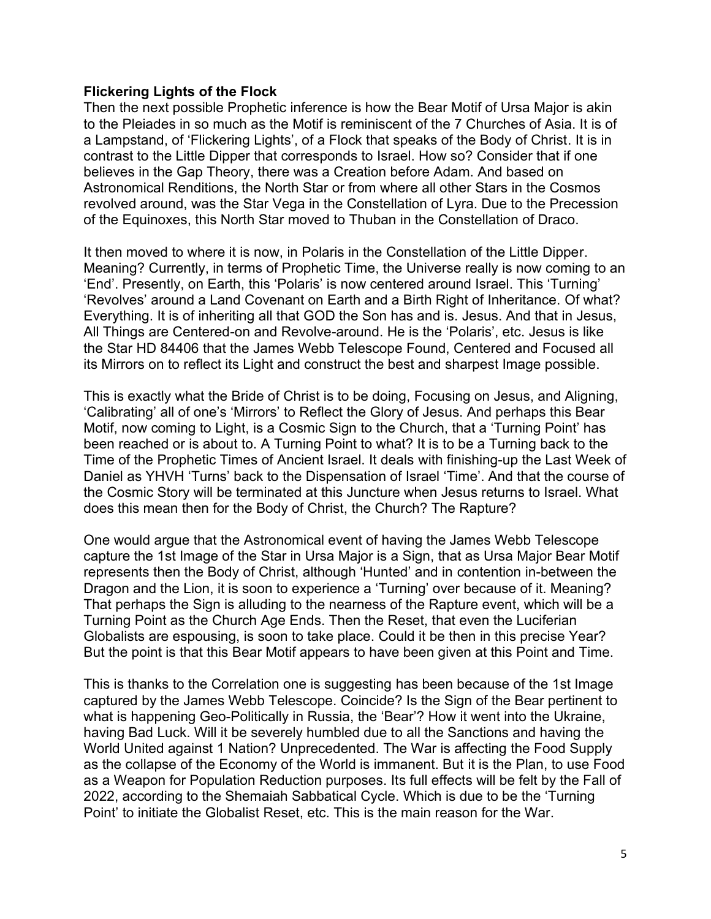#### **Flickering Lights of the Flock**

Then the next possible Prophetic inference is how the Bear Motif of Ursa Major is akin to the Pleiades in so much as the Motif is reminiscent of the 7 Churches of Asia. It is of a Lampstand, of 'Flickering Lights', of a Flock that speaks of the Body of Christ. It is in contrast to the Little Dipper that corresponds to Israel. How so? Consider that if one believes in the Gap Theory, there was a Creation before Adam. And based on Astronomical Renditions, the North Star or from where all other Stars in the Cosmos revolved around, was the Star Vega in the Constellation of Lyra. Due to the Precession of the Equinoxes, this North Star moved to Thuban in the Constellation of Draco.

It then moved to where it is now, in Polaris in the Constellation of the Little Dipper. Meaning? Currently, in terms of Prophetic Time, the Universe really is now coming to an 'End'. Presently, on Earth, this 'Polaris' is now centered around Israel. This 'Turning' 'Revolves' around a Land Covenant on Earth and a Birth Right of Inheritance. Of what? Everything. It is of inheriting all that GOD the Son has and is. Jesus. And that in Jesus, All Things are Centered-on and Revolve-around. He is the 'Polaris', etc. Jesus is like the Star HD 84406 that the James Webb Telescope Found, Centered and Focused all its Mirrors on to reflect its Light and construct the best and sharpest Image possible.

This is exactly what the Bride of Christ is to be doing, Focusing on Jesus, and Aligning, 'Calibrating' all of one's 'Mirrors' to Reflect the Glory of Jesus. And perhaps this Bear Motif, now coming to Light, is a Cosmic Sign to the Church, that a 'Turning Point' has been reached or is about to. A Turning Point to what? It is to be a Turning back to the Time of the Prophetic Times of Ancient Israel. It deals with finishing-up the Last Week of Daniel as YHVH 'Turns' back to the Dispensation of Israel 'Time'. And that the course of the Cosmic Story will be terminated at this Juncture when Jesus returns to Israel. What does this mean then for the Body of Christ, the Church? The Rapture?

One would argue that the Astronomical event of having the James Webb Telescope capture the 1st Image of the Star in Ursa Major is a Sign, that as Ursa Major Bear Motif represents then the Body of Christ, although 'Hunted' and in contention in-between the Dragon and the Lion, it is soon to experience a 'Turning' over because of it. Meaning? That perhaps the Sign is alluding to the nearness of the Rapture event, which will be a Turning Point as the Church Age Ends. Then the Reset, that even the Luciferian Globalists are espousing, is soon to take place. Could it be then in this precise Year? But the point is that this Bear Motif appears to have been given at this Point and Time.

This is thanks to the Correlation one is suggesting has been because of the 1st Image captured by the James Webb Telescope. Coincide? Is the Sign of the Bear pertinent to what is happening Geo-Politically in Russia, the 'Bear'? How it went into the Ukraine, having Bad Luck. Will it be severely humbled due to all the Sanctions and having the World United against 1 Nation? Unprecedented. The War is affecting the Food Supply as the collapse of the Economy of the World is immanent. But it is the Plan, to use Food as a Weapon for Population Reduction purposes. Its full effects will be felt by the Fall of 2022, according to the Shemaiah Sabbatical Cycle. Which is due to be the 'Turning Point' to initiate the Globalist Reset, etc. This is the main reason for the War.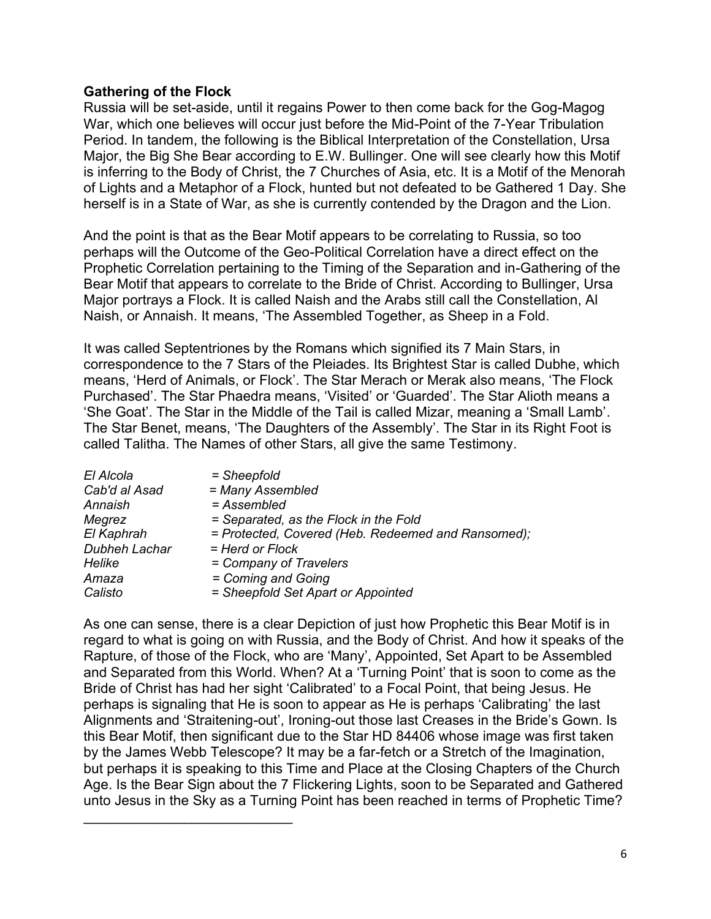## **Gathering of the Flock**

Russia will be set-aside, until it regains Power to then come back for the Gog-Magog War, which one believes will occur just before the Mid-Point of the 7-Year Tribulation Period. In tandem, the following is the Biblical Interpretation of the Constellation, Ursa Major, the Big She Bear according to E.W. Bullinger. One will see clearly how this Motif is inferring to the Body of Christ, the 7 Churches of Asia, etc. It is a Motif of the Menorah of Lights and a Metaphor of a Flock, hunted but not defeated to be Gathered 1 Day. She herself is in a State of War, as she is currently contended by the Dragon and the Lion.

And the point is that as the Bear Motif appears to be correlating to Russia, so too perhaps will the Outcome of the Geo-Political Correlation have a direct effect on the Prophetic Correlation pertaining to the Timing of the Separation and in-Gathering of the Bear Motif that appears to correlate to the Bride of Christ. According to Bullinger, Ursa Major portrays a Flock. It is called Naish and the Arabs still call the Constellation, Al Naish, or Annaish. It means, 'The Assembled Together, as Sheep in a Fold.

It was called Septentriones by the Romans which signified its 7 Main Stars, in correspondence to the 7 Stars of the Pleiades. Its Brightest Star is called Dubhe, which means, 'Herd of Animals, or Flock'. The Star Merach or Merak also means, 'The Flock Purchased'. The Star Phaedra means, 'Visited' or 'Guarded'. The Star Alioth means a 'She Goat'. The Star in the Middle of the Tail is called Mizar, meaning a 'Small Lamb'. The Star Benet, means, 'The Daughters of the Assembly'. The Star in its Right Foot is called Talitha. The Names of other Stars, all give the same Testimony.

| $=$ Sheepfold                                      |
|----------------------------------------------------|
| = Many Assembled                                   |
| = Assembled                                        |
| = Separated, as the Flock in the Fold              |
| = Protected, Covered (Heb. Redeemed and Ransomed); |
| = Herd or Flock                                    |
| = Company of Travelers                             |
| = Coming and Going                                 |
| = Sheepfold Set Apart or Appointed                 |
|                                                    |

\_\_\_\_\_\_\_\_\_\_\_\_\_\_\_\_\_\_\_\_\_\_\_\_\_\_\_

As one can sense, there is a clear Depiction of just how Prophetic this Bear Motif is in regard to what is going on with Russia, and the Body of Christ. And how it speaks of the Rapture, of those of the Flock, who are 'Many', Appointed, Set Apart to be Assembled and Separated from this World. When? At a 'Turning Point' that is soon to come as the Bride of Christ has had her sight 'Calibrated' to a Focal Point, that being Jesus. He perhaps is signaling that He is soon to appear as He is perhaps 'Calibrating' the last Alignments and 'Straitening-out', Ironing-out those last Creases in the Bride's Gown. Is this Bear Motif, then significant due to the Star HD 84406 whose image was first taken by the James Webb Telescope? It may be a far-fetch or a Stretch of the Imagination, but perhaps it is speaking to this Time and Place at the Closing Chapters of the Church Age. Is the Bear Sign about the 7 Flickering Lights, soon to be Separated and Gathered unto Jesus in the Sky as a Turning Point has been reached in terms of Prophetic Time?